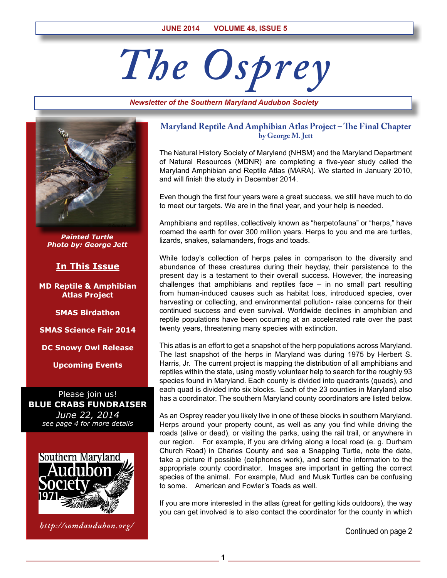# *The Osprey*

*Newsletter of the Southern Maryland Audubon Society*



*Painted Turtle Photo by: George Jett*

# **In This Issue**

**MD Reptile & Amphibian Atlas Project**

**SMAS Birdathon**

**SMAS Science Fair 2014**

**DC Snowy Owl Release**

**Upcoming Events**

Please join us! **BLUE CRABS FunDraiser** *June 22, 2014 see page 4 for more details*



*http://somdaudubon.org/*

## **Maryland Reptile And Amphibian Atlas Project – The Final Chapter by George M. Jett**

The Natural History Society of Maryland (NHSM) and the Maryland Department of Natural Resources (MDNR) are completing a five-year study called the Maryland Amphibian and Reptile Atlas (MARA). We started in January 2010, and will finish the study in December 2014.

Even though the first four years were a great success, we still have much to do to meet our targets. We are in the final year, and your help is needed.

Amphibians and reptiles, collectively known as "herpetofauna" or "herps," have roamed the earth for over 300 million years. Herps to you and me are turtles, lizards, snakes, salamanders, frogs and toads.

While today's collection of herps pales in comparison to the diversity and abundance of these creatures during their heyday, their persistence to the present day is a testament to their overall success. However, the increasing challenges that amphibians and reptiles face – in no small part resulting from human-induced causes such as habitat loss, introduced species, over harvesting or collecting, and environmental pollution- raise concerns for their continued success and even survival. Worldwide declines in amphibian and reptile populations have been occurring at an accelerated rate over the past twenty years, threatening many species with extinction.

This atlas is an effort to get a snapshot of the herp populations across Maryland. The last snapshot of the herps in Maryland was during 1975 by Herbert S. Harris, Jr. The current project is mapping the distribution of all amphibians and reptiles within the state, using mostly volunteer help to search for the roughly 93 species found in Maryland. Each county is divided into quadrants (quads), and each quad is divided into six blocks. Each of the 23 counties in Maryland also has a coordinator. The southern Maryland county coordinators are listed below.

As an Osprey reader you likely live in one of these blocks in southern Maryland. Herps around your property count, as well as any you find while driving the roads (alive or dead), or visiting the parks, using the rail trail, or anywhere in our region. For example, if you are driving along a local road (e. g. Durham Church Road) in Charles County and see a Snapping Turtle, note the date, take a picture if possible (cellphones work), and send the information to the appropriate county coordinator. Images are important in getting the correct species of the animal. For example, Mud and Musk Turtles can be confusing to some. American and Fowler's Toads as well.

If you are more interested in the atlas (great for getting kids outdoors), the way you can get involved is to also contact the coordinator for the county in which

**1**

Continued on page 2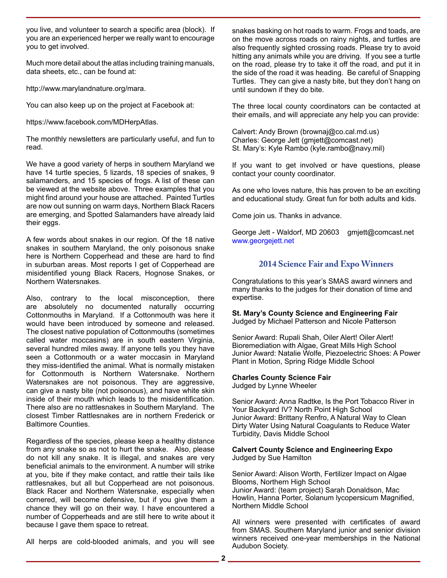you live, and volunteer to search a specific area (block). If you are an experienced herper we really want to encourage you to get involved.

Much more detail about the atlas including training manuals, data sheets, etc., can be found at:

http://www.marylandnature.org/mara.

You can also keep up on the project at Facebook at:

https://www.facebook.com/MDHerpAtlas.

The monthly newsletters are particularly useful, and fun to read.

We have a good variety of herps in southern Maryland we have 14 turtle species, 5 lizards, 18 species of snakes, 9 salamanders, and 15 species of frogs. A list of these can be viewed at the website above. Three examples that you might find around your house are attached. Painted Turtles are now out sunning on warm days, Northern Black Racers are emerging, and Spotted Salamanders have already laid their eggs.

A few words about snakes in our region. Of the 18 native snakes in southern Maryland, the only poisonous snake here is Northern Copperhead and these are hard to find in suburban areas. Most reports I get of Copperhead are misidentified young Black Racers, Hognose Snakes, or Northern Watersnakes.

Also, contrary to the local misconception, there are absolutely no documented naturally occurring Cottonmouths in Maryland. If a Cottonmouth was here it would have been introduced by someone and released. The closest native population of Cottonmouths (sometimes called water moccasins) are in south eastern Virginia, several hundred miles away. If anyone tells you they have seen a Cottonmouth or a water moccasin in Maryland they miss-identified the animal. What is normally mistaken for Cottonmouth is Northern Watersnake. Northern Watersnakes are not poisonous. They are aggressive, can give a nasty bite (not poisonous), and have white skin inside of their mouth which leads to the misidentification. There also are no rattlesnakes in Southern Maryland. The closest Timber Rattlesnakes are in northern Frederick or Baltimore Counties.

Regardless of the species, please keep a healthy distance from any snake so as not to hurt the snake. Also, please do not kill any snake. It is illegal, and snakes are very beneficial animals to the environment. A number will strike at you, bite if they make contact, and rattle their tails like rattlesnakes, but all but Copperhead are not poisonous. Black Racer and Northern Watersnake, especially when cornered, will become defensive, but if you give them a chance they will go on their way. I have encountered a number of Copperheads and are still here to write about it because I gave them space to retreat.

All herps are cold-blooded animals, and you will see

snakes basking on hot roads to warm. Frogs and toads, are on the move across roads on rainy nights, and turtles are also frequently sighted crossing roads. Please try to avoid hitting any animals while you are driving. If you see a turtle on the road, please try to take it off the road, and put it in the side of the road it was heading. Be careful of Snapping Turtles. They can give a nasty bite, but they don't hang on until sundown if they do bite.

The three local county coordinators can be contacted at their emails, and will appreciate any help you can provide:

Calvert: Andy Brown (brownaj@co.cal.md.us) Charles: George Jett (gmjett@comcast.net) St. Mary's: Kyle Rambo (kyle.rambo@navy.mil)

If you want to get involved or have questions, please contact your county coordinator.

As one who loves nature, this has proven to be an exciting and educational study. Great fun for both adults and kids.

Come join us. Thanks in advance.

George Jett - Waldorf, MD 20603 gmjett@comcast.net www.georgejett.net

# **2014 Science Fair and Expo Winners**

Congratulations to this year's SMAS award winners and many thanks to the judges for their donation of time and expertise.

**St. Mary's County Science and Engineering Fair** Judged by Michael Patterson and Nicole Patterson

Senior Award: Rupali Shah, Oiler Alert! Oiler Alert! Bioremediation with Algae, Great Mills High School Junior Award: Natalie Wolfe, Piezoelectric Shoes: A Power Plant in Motion, Spring Ridge Middle School

## **Charles County Science Fair**

Judged by Lynne Wheeler

Senior Award: Anna Radtke, Is the Port Tobacco River in Your Backyard IV? North Point High School Junior Award: Brittany Renfro, A Natural Way to Clean Dirty Water Using Natural Coagulants to Reduce Water Turbidity, Davis Middle School

#### **Calvert County Science and Engineering Expo** Judged by Sue Hamilton

Senior Award: Alison Worth, Fertilizer Impact on Algae Blooms, Northern High School Junior Award: (team project) Sarah Donaldson, Mac Howlin, Hanna Porter, Solanum lycopersicum Magnified, Northern Middle School

All winners were presented with certificates of award from SMAS. Southern Maryland junior and senior division winners received one-year memberships in the National Audubon Society.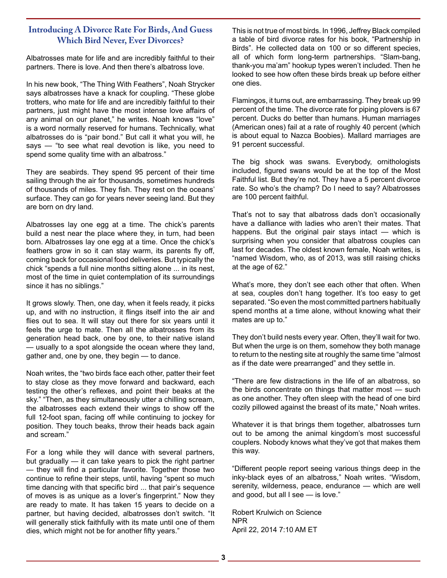# **Introducing A Divorce Rate For Birds, And Guess Which Bird Never, Ever Divorces?**

Albatrosses mate for life and are incredibly faithful to their partners. There is love. And then there's albatross love.

In his new book, "The Thing With Feathers", Noah Strycker says albatrosses have a knack for coupling. "These globe trotters, who mate for life and are incredibly faithful to their partners, just might have the most intense love affairs of any animal on our planet," he writes. Noah knows "love" is a word normally reserved for humans. Technically, what albatrosses do is "pair bond." But call it what you will, he says — "to see what real devotion is like, you need to spend some quality time with an albatross."

They are seabirds. They spend 95 percent of their time sailing through the air for thousands, sometimes hundreds of thousands of miles. They fish. They rest on the oceans' surface. They can go for years never seeing land. But they are born on dry land.

Albatrosses lay one egg at a time. The chick's parents build a nest near the place where they, in turn, had been born. Albatrosses lay one egg at a time. Once the chick's feathers grow in so it can stay warm, its parents fly off, coming back for occasional food deliveries. But typically the chick "spends a full nine months sitting alone ... in its nest, most of the time in quiet contemplation of its surroundings since it has no siblings."

It grows slowly. Then, one day, when it feels ready, it picks up, and with no instruction, it flings itself into the air and flies out to sea. It will stay out there for six years until it feels the urge to mate. Then all the albatrosses from its generation head back, one by one, to their native island — usually to a spot alongside the ocean where they land, gather and, one by one, they begin — to dance.

Noah writes, the "two birds face each other, patter their feet to stay close as they move forward and backward, each testing the other's reflexes, and point their beaks at the sky." "Then, as they simultaneously utter a chilling scream, the albatrosses each extend their wings to show off the full 12-foot span, facing off while continuing to jockey for position. They touch beaks, throw their heads back again and scream."

For a long while they will dance with several partners, but gradually — it can take years to pick the right partner — they will find a particular favorite. Together those two continue to refine their steps, until, having "spent so much time dancing with that specific bird ... that pair's sequence of moves is as unique as a lover's fingerprint." Now they are ready to mate. It has taken 15 years to decide on a partner, but having decided, albatrosses don't switch. "It will generally stick faithfully with its mate until one of them dies, which might not be for another fifty years."

This is not true of most birds. In 1996, Jeffrey Black compiled a table of bird divorce rates for his book, "Partnership in Birds". He collected data on 100 or so different species, all of which form long-term partnerships. "Slam-bang, thank-you ma'am" hookup types weren't included. Then he looked to see how often these birds break up before either one dies.

Flamingos, it turns out, are embarrassing. They break up 99 percent of the time. The divorce rate for piping plovers is 67 percent. Ducks do better than humans. Human marriages (American ones) fail at a rate of roughly 40 percent (which is about equal to Nazca Boobies). Mallard marriages are 91 percent successful.

The big shock was swans. Everybody, ornithologists included, figured swans would be at the top of the Most Faithful list. But they're not. They have a 5 percent divorce rate. So who's the champ? Do I need to say? Albatrosses are 100 percent faithful.

That's not to say that albatross dads don't occasionally have a dalliance with ladies who aren't their mates. That happens. But the original pair stays intact — which is surprising when you consider that albatross couples can last for decades. The oldest known female, Noah writes, is "named Wisdom, who, as of 2013, was still raising chicks at the age of 62."

What's more, they don't see each other that often. When at sea, couples don't hang together. It's too easy to get separated. "So even the most committed partners habitually spend months at a time alone, without knowing what their mates are up to."

They don't build nests every year. Often, they'll wait for two. But when the urge is on them, somehow they both manage to return to the nesting site at roughly the same time "almost as if the date were prearranged" and they settle in.

"There are few distractions in the life of an albatross, so the birds concentrate on things that matter most — such as one another. They often sleep with the head of one bird cozily pillowed against the breast of its mate," Noah writes.

Whatever it is that brings them together, albatrosses turn out to be among the animal kingdom's most successful couplers. Nobody knows what they've got that makes them this way.

"Different people report seeing various things deep in the inky-black eyes of an albatross," Noah writes. "Wisdom, serenity, wilderness, peace, endurance - which are well and good, but all I see — is love."

Robert Krulwich on Science NPR April 22, 2014 7:10 AM ET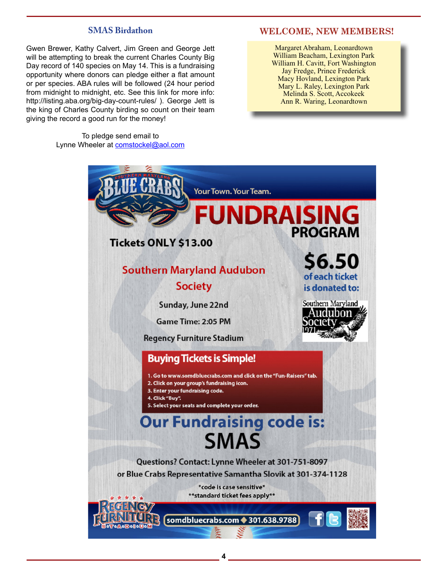## **SMAS Birdathon**

Gwen Brewer, Kathy Calvert, Jim Green and George Jett will be attempting to break the current Charles County Big Day record of 140 species on May 14. This is a fundraising opportunity where donors can pledge either a flat amount or per species. ABA rules will be followed (24 hour period from midnight to midnight, etc. See this link for more info: http://listing.aba.org/big-day-count-rules/ ). George Jett is the king of Charles County birding so count on their team giving the record a good run for the money!

> To pledge send email to Lynne Wheeler at comstockel@aol.com

## **WELCOME, NEW MEMBERS!**

Margaret Abraham, Leonardtown William Beacham, Lexington Park William H. Cavitt, Fort Washington Jay Fredge, Prince Frederick Macy Hovland, Lexington Park Mary L. Raley, Lexington Park Melinda S. Scott, Accokeek Ann R. Waring, Leonardtown



**4**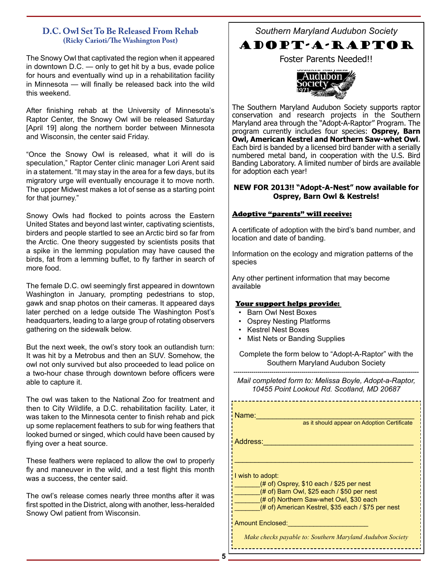## **D.C. Owl Set To Be Released From Rehab (Ricky Carioti/The Washington Post)**

The Snowy Owl that captivated the region when it appeared in downtown D.C. — only to get hit by a bus, evade police for hours and eventually wind up in a rehabilitation facility in Minnesota — will finally be released back into the wild this weekend.

After finishing rehab at the University of Minnesota's Raptor Center, the Snowy Owl will be released Saturday [April 19] along the northern border between Minnesota and Wisconsin, the center said Friday.

"Once the Snowy Owl is released, what it will do is speculation," Raptor Center clinic manager Lori Arent said in a statement. "It may stay in the area for a few days, but its migratory urge will eventually encourage it to move north. The upper Midwest makes a lot of sense as a starting point for that journey."

Snowy Owls had flocked to points across the Eastern United States and beyond last winter, captivating scientists, birders and people startled to see an Arctic bird so far from the Arctic. One theory suggested by scientists posits that a spike in the lemming population may have caused the birds, fat from a lemming buffet, to fly farther in search of more food.

The female D.C. owl seemingly first appeared in downtown Washington in January, prompting pedestrians to stop, gawk and snap photos on their cameras. It appeared days later perched on a ledge outside The Washington Post's headquarters, leading to a large group of rotating observers gathering on the sidewalk below.

But the next week, the owl's story took an outlandish turn: It was hit by a Metrobus and then an SUV. Somehow, the owl not only survived but also proceeded to lead police on a two-hour chase through downtown before officers were able to capture it.

The owl was taken to the National Zoo for treatment and then to City Wildlife, a D.C. rehabilitation facility. Later, it was taken to the Minnesota center to finish rehab and pick up some replacement feathers to sub for wing feathers that looked burned or singed, which could have been caused by flying over a heat source.

These feathers were replaced to allow the owl to properly fly and maneuver in the wild, and a test flight this month was a success, the center said.

The owl's release comes nearly three months after it was first spotted in the District, along with another, less-heralded Snowy Owl patient from Wisconsin.

*Southern Maryland Audubon Society*



Foster Parents Needed!!



The Southern Maryland Audubon Society supports raptor conservation and research projects in the Southern Maryland area through the "Adopt-A-Raptor" Program. The program currently includes four species: **Osprey, Barn Owl, American Kestrel and Northern Saw-whet Owl**. Each bird is banded by a licensed bird bander with a serially numbered metal band, in cooperation with the U.S. Bird Banding Laboratory. A limited number of birds are available for adoption each year!

### **NEW FOR 2013!! "Adopt-A-Nest" now available for Osprey, Barn Owl & Kestrels!**

## Adoptive "parents" will receive:

A certificate of adoption with the bird's band number, and location and date of banding.

Information on the ecology and migration patterns of the species

Any other pertinent information that may become available

## Your support helps provide:

- Barn Owl Nest Boxes
- Osprey Nesting Platforms
- Kestrel Nest Boxes
- Mist Nets or Banding Supplies

Complete the form below to "Adopt-A-Raptor" with the Southern Maryland Audubon Society

--------------------------------------------------------------------------------------------- *Mail completed form to: Melissa Boyle, Adopt-a-Raptor, 10455 Point Lookout Rd. Scotland, MD 20687*

Name:\_\_\_\_\_\_\_\_\_\_\_\_\_\_\_\_\_\_\_\_\_\_\_\_\_\_\_\_\_\_\_\_\_\_\_\_\_\_\_ as it should appear on Adoption Certificate

Address:\_\_\_\_\_\_\_\_\_\_\_\_\_\_\_\_\_\_\_\_\_\_\_\_\_\_\_\_\_\_\_\_\_\_\_\_\_

I wish to adopt:

 $(# of)$  Osprey, \$10 each / \$25 per nest

(# of) Barn Owl, \$25 each / \$50 per nest

(# of) Northern Saw-whet Owl, \$30 each

(# of) American Kestrel, \$35 each / \$75 per nest

\_\_\_\_\_\_\_\_\_\_\_\_\_\_\_\_\_\_\_\_\_\_\_\_\_\_\_\_\_\_\_\_\_\_\_\_\_\_\_\_\_\_\_\_

Amount Enclosed:

*Make checks payable to: Southern Maryland Audubon Society*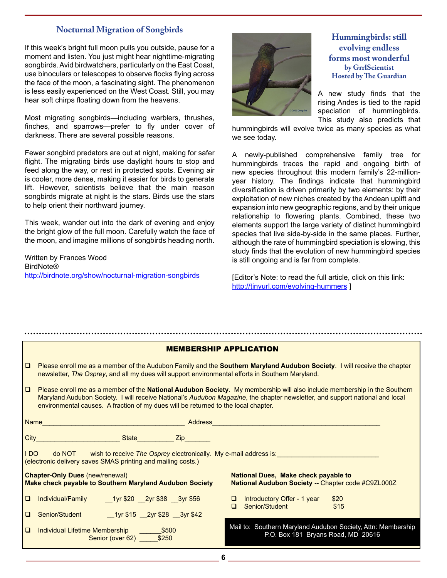# **Nocturnal Migration of Songbirds**

If this week's bright full moon pulls you outside, pause for a moment and listen. You just might hear nighttime-migrating songbirds. Avid birdwatchers, particularly on the East Coast, use binoculars or telescopes to observe flocks flying across the face of the moon, a fascinating sight. The phenomenon is less easily experienced on the West Coast. Still, you may hear soft chirps floating down from the heavens.

Most migrating songbirds—including warblers, thrushes, finches, and sparrows—prefer to fly under cover of darkness. There are several possible reasons.

Fewer songbird predators are out at night, making for safer flight. The migrating birds use daylight hours to stop and feed along the way, or rest in protected spots. Evening air is cooler, more dense, making it easier for birds to generate lift. However, scientists believe that the main reason songbirds migrate at night is the stars. Birds use the stars to help orient their northward journey.

This week, wander out into the dark of evening and enjoy the bright glow of the full moon. Carefully watch the face of the moon, and imagine millions of songbirds heading north.

Written by Frances Wood BirdNote® http://birdnote.org/show/nocturnal-migration-songbirds



**Hummingbirds: still evolving endless forms most wonderful by GrrlScientist Hosted by The Guardian**

A new study finds that the rising Andes is tied to the rapid speciation of hummingbirds. This study also predicts that

hummingbirds will evolve twice as many species as what we see today.

A newly-published comprehensive family tree for hummingbirds traces the rapid and ongoing birth of new species throughout this modern family's 22-millionyear history. The findings indicate that hummingbird diversification is driven primarily by two elements: by their exploitation of new niches created by the Andean uplift and expansion into new geographic regions, and by their unique relationship to flowering plants. Combined, these two elements support the large variety of distinct hummingbird species that live side-by-side in the same places. Further, although the rate of hummingbird speciation is slowing, this study finds that the evolution of new hummingbird species is still ongoing and is far from complete.

[Editor's Note: to read the full article, click on this link: http://tinyurl.com/evolving-hummers ]

|                                                                                                                                                                                                                                           | <b>MEMBERSHIP APPLICATION</b>                                                                                                                                                                                                                                                                                                                  |                                                                                                          |  |  |
|-------------------------------------------------------------------------------------------------------------------------------------------------------------------------------------------------------------------------------------------|------------------------------------------------------------------------------------------------------------------------------------------------------------------------------------------------------------------------------------------------------------------------------------------------------------------------------------------------|----------------------------------------------------------------------------------------------------------|--|--|
| $\Box$                                                                                                                                                                                                                                    | Please enroll me as a member of the Audubon Family and the Southern Maryland Audubon Society. I will receive the chapter<br>newsletter, The Osprey, and all my dues will support environmental efforts in Southern Maryland.                                                                                                                   |                                                                                                          |  |  |
| 0                                                                                                                                                                                                                                         | Please enroll me as a member of the National Audubon Society. My membership will also include membership in the Southern<br>Maryland Audubon Society. I will receive National's Audubon Magazine, the chapter newsletter, and support national and local<br>environmental causes. A fraction of my dues will be returned to the local chapter. |                                                                                                          |  |  |
| Name Name and Albert Contract and Albert Contract Contract Contract Contract Contract Contract Contract Contract Contract Contract Contract Contract Contract Contract Contract Contract Contract Contract Contract Contract C<br>Address |                                                                                                                                                                                                                                                                                                                                                |                                                                                                          |  |  |
|                                                                                                                                                                                                                                           |                                                                                                                                                                                                                                                                                                                                                |                                                                                                          |  |  |
| $\overline{\overline{1}}$ DO<br>do NOT wish to receive The Osprey electronically. My e-mail address is:<br>(electronic delivery saves SMAS printing and mailing costs.)                                                                   |                                                                                                                                                                                                                                                                                                                                                |                                                                                                          |  |  |
| <b>Chapter-Only Dues (new/renewal)</b><br>Make check payable to Southern Maryland Audubon Society                                                                                                                                         |                                                                                                                                                                                                                                                                                                                                                | <b>National Dues, Make check payable to</b><br><b>National Audubon Society -- Chapter code #C9ZL000Z</b> |  |  |
| $\Box$                                                                                                                                                                                                                                    |                                                                                                                                                                                                                                                                                                                                                | \$20<br>Senior/Student<br>\$15<br>$\Box$                                                                 |  |  |
| <b>D</b>                                                                                                                                                                                                                                  | Senior/Student 1yr \$15 2yr \$28 3yr \$42                                                                                                                                                                                                                                                                                                      |                                                                                                          |  |  |
| $\Box$                                                                                                                                                                                                                                    | Senior (over 62) \$250                                                                                                                                                                                                                                                                                                                         | Mail to: Southern Maryland Audubon Society, Attn: Membership<br>P.O. Box 181 Bryans Road, MD 20616       |  |  |

**6**